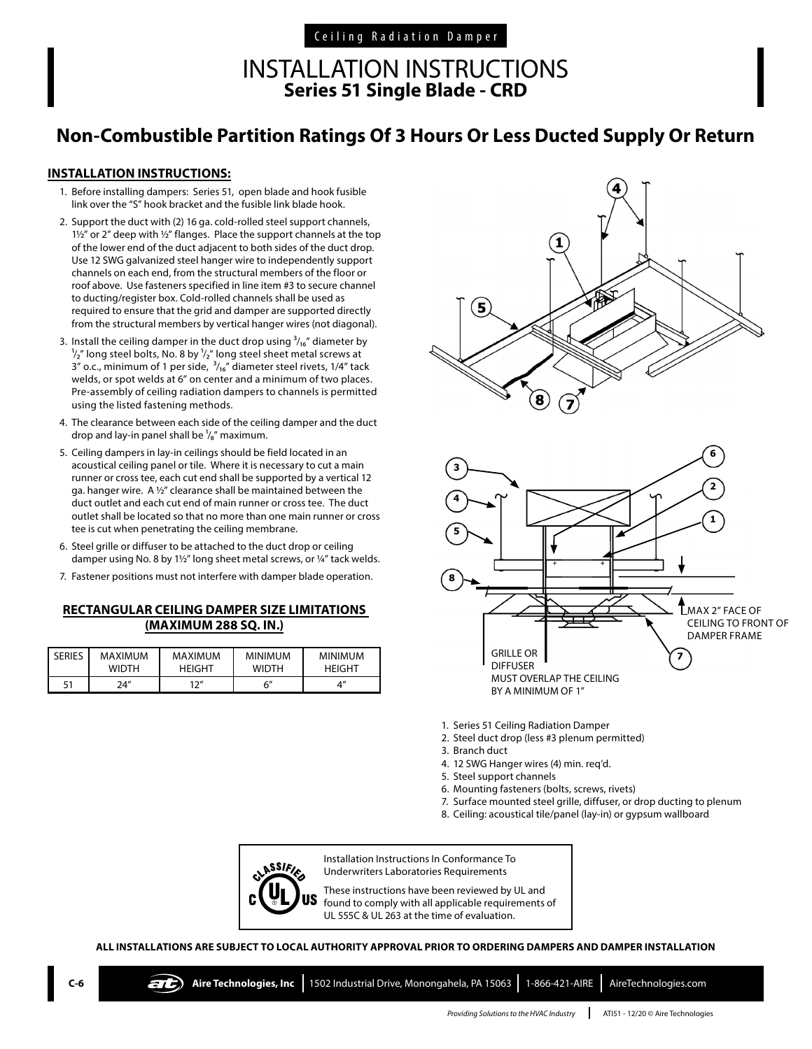Ceiling Radiation Damper

## INSTALLATION INSTRUCTIONS **Series 51 Single Blade - CRD**

# **Non-Combustible Partition Ratings Of 3 Hours Or Less Ducted Supply Or Return**

#### **INSTALLATION INSTRUCTIONS:**

- 1. Before installing dampers: Series 51, open blade and hook fusible link over the "S" hook bracket and the fusible link blade hook.
- 2. Support the duct with (2) 16 ga. cold-rolled steel support channels, 11/2" or 2" deep with 1/2" flanges. Place the support channels at the top of the lower end of the duct adjacent to both sides of the duct drop. Use 12 SWG galvanized steel hanger wire to independently support channels on each end, from the structural members of the floor or roof above. Use fasteners specified in line item #3 to secure channel to ducting/register box. Cold-rolled channels shall be used as required to ensure that the grid and damper are supported directly from the structural members by vertical hanger wires (not diagonal).
- 3. Install the ceiling damper in the duct drop using  $\frac{3}{16}$ " diameter by  $\frac{1}{2}$ " long steel bolts, No. 8 by  $\frac{1}{2}$ " long steel sheet metal screws at 3" o.c., minimum of 1 per side,  $\frac{3}{16}$ " diameter steel rivets, 1/4" tack welds, or spot welds at 6" on center and a minimum of two places. Pre-assembly of ceiling radiation dampers to channels is permitted using the listed fastening methods.
- 4. The clearance between each side of the ceiling damper and the duct drop and lay-in panel shall be  $\frac{1}{8}$ " maximum.
- 5. Ceiling dampers in lay-in ceilings should be field located in an acoustical ceiling panel or tile. Where it is necessary to cut a main runner or cross tee, each cut end shall be supported by a vertical 12 ga. hanger wire. A ½" clearance shall be maintained between the duct outlet and each cut end of main runner or cross tee. The duct outlet shall be located so that no more than one main runner or cross tee is cut when penetrating the ceiling membrane.
- 6. Steel grille or diffuser to be attached to the duct drop or ceiling damper using No. 8 by 1½" long sheet metal screws, or ¼" tack welds.
- 7. Fastener positions must not interfere with damper blade operation.

### **RECTANGULAR CEILING DAMPER SIZE LIMITATIONS (MAXIMUM 288 SQ. IN.)**

| <b>SERIES</b> | MAXIMUM      | <b>MAXIMUM</b>       | <b>MINIMUM</b> | <b>MINIMUM</b> |
|---------------|--------------|----------------------|----------------|----------------|
|               | <b>WIDTH</b> | <b>HEIGHT</b>        | <b>WIDTH</b>   | <b>HEIGHT</b>  |
| 51            | 74"          | 1つ $^{\prime\prime}$ | б"             | 4″             |





- 1. Series 51 Ceiling Radiation Damper
- 2. Steel duct drop (less #3 plenum permitted)
- 3. Branch duct
- 4. 12 SWG Hanger wires (4) min. req'd.
- 5. Steel support channels
- 6. Mounting fasteners (bolts, screws, rivets)
- 7. Surface mounted steel grille, diffuser, or drop ducting to plenum
- 8. Ceiling: acoustical tile/panel (lay-in) or gypsum wallboard



Installation Instructions In Conformance To Underwriters Laboratories Requirements

These instructions have been reviewed by UL and found to comply with all applicable requirements of UL 555C & UL 263 at the time of evaluation.

**ALL INSTALLATIONS ARE SUBJECT TO LOCAL AUTHORITY APPROVAL PRIOR TO ORDERING DAMPERS AND DAMPER INSTALLATION**